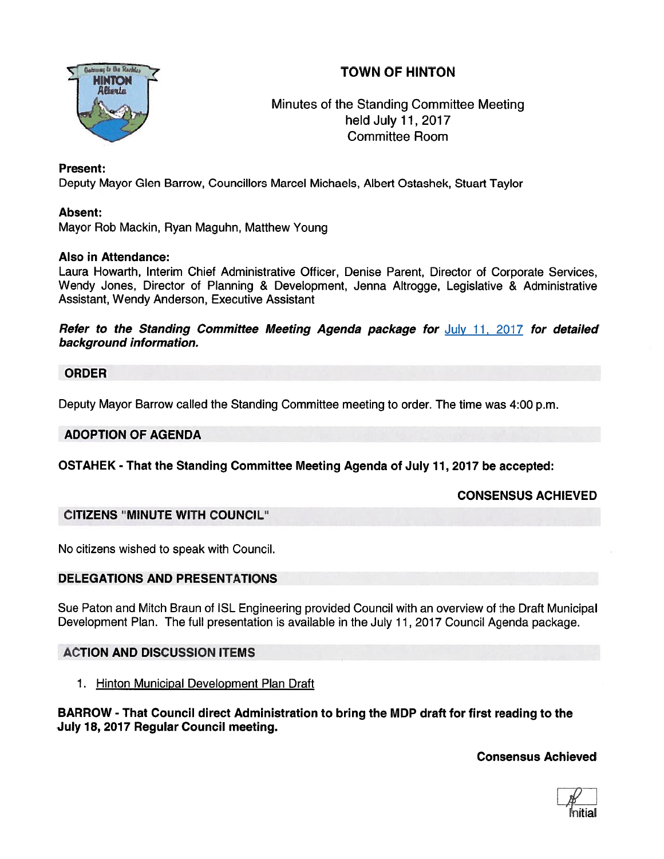# TOWN OF HINTON



## Minutes of the Standing Committee Meeting held July 11,2017 Committee Room

#### Present:

Deputy Mayor Glen Barrow, Councillors Marcel Michaels, Albert Ostashek, Stuart Taylor

#### Absent:

Mayor Rob Mackin, Ryan Maguhn, Matthew Young

#### Also in Attendance:

Laura Howarth, Interim Chief Administrative Officer, Denise Parent, Director of Corporate Services, Wendy Jones, Director of Planning & Development, Jenna Altrogge, Legislative & Administrative Assistant, Wendy Anderson, Executive Assistant

Refer to the Standing Committee Meeting Agenda package for July 11, 2017 for detailed background information.

#### ORDER

Deputy Mayor Barrow called the Standing Committee meeting to order. The time was 4:00 p.m.

#### ADOPTION OF AGENDA

OSTAHEK - That the Standing Committee Meeting Agenda of July 11,2017 be accepted:

#### CONSENSUS ACHIEVED

#### CITIZENS "MINUTE WITH COUNCIL"

No citizens wished to speak with Council.

#### DELEGATIONS AND PRESENTATIONS

Sue Paton and Mitch Braun of ISL Engineering provided Council with an overview of the Draft Municipal Development Plan. The full presentation is available in the July 11, 2017 Council Agenda package.

#### ACTION AND DISCUSSION ITEMS

1. Hinton Municipal Development Plan Draft

BARROW - That Council direct Administration to bring the MDP draft for first reading to the July 18, 2077 Regular Council meeting.

Consensus Achieved

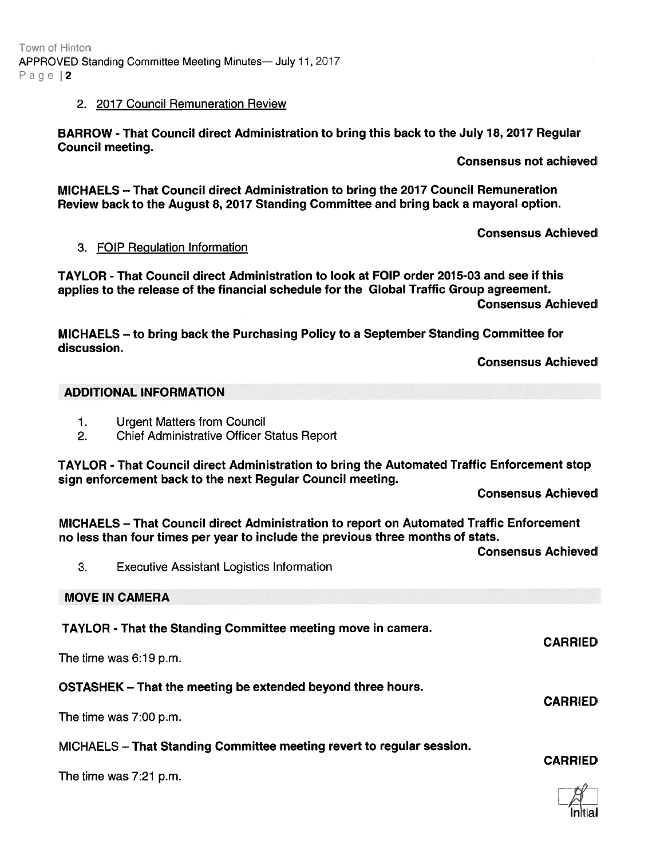# ADDITIONAL INFORMATION

- 1. Urgent Matters from Council
- 2. Chief Administrative Officer Status Report

TAYLOR - That Council direct Administration to bring the Automated Traffic Enforcement stop sign enforcement back to the next Regular Council meeting.

Consensus Achieved

Consensus Achieved

MICHAELS — That Council direct Administration to repor<sup>t</sup> on Automated Traffic Enforcement no less than four times per year to include the previous three months of stats.

3. Executive Assistant Logistics Information

MOVE IN CAMERA

TAYLOR - That the Standing Committee meeting move in camera.

CARRIED

The time was 7:00 p.m.

discussion.

# 3. FOIP Regulation Information

BARROW -That Council direct Administration to bring this back to the July 18, 2017 Regular Council meeting.

MICHAELS — That Council direct Administration to bring the 2017 Council Remuneration

TAYLOR - That Council direct Administration to look at FOIP order 201 5-03 and see if this applies to the release of the financial schedule for the Global Traffic Group agreement.

MICHAELS — to bring back the Purchasing Policy to <sup>a</sup> September Standing Committee for

Review back to the August 8, 2017 Standing Committee and bring back <sup>a</sup> mayoral option.

Consensus Achieved

Consensus Achieved

# Town of Hinton Page | 2

APPROVED Standing Committee Meeting Minutes— July 11, 2017

## 2. 2017 Council Remuneration Review

Consensus not achieved

Consensus Achieved